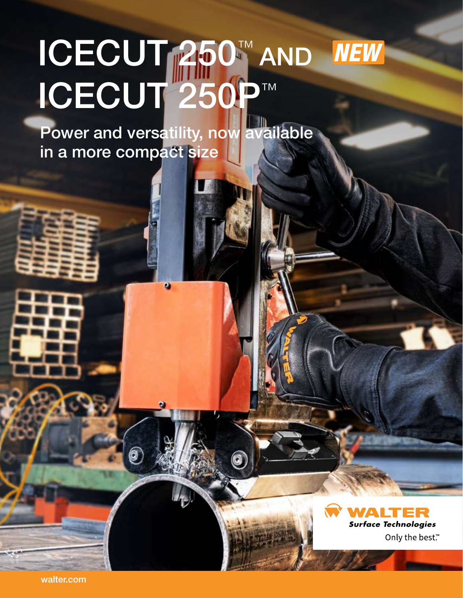## ICECUT 250™ AND **NEW** Light the Contract of the Contract of POWERFUL ICECUT 250P™ **SAFE**

Power and versatility, now available in a more compact size

 $\boldsymbol{\Omega}$ 



walter.com